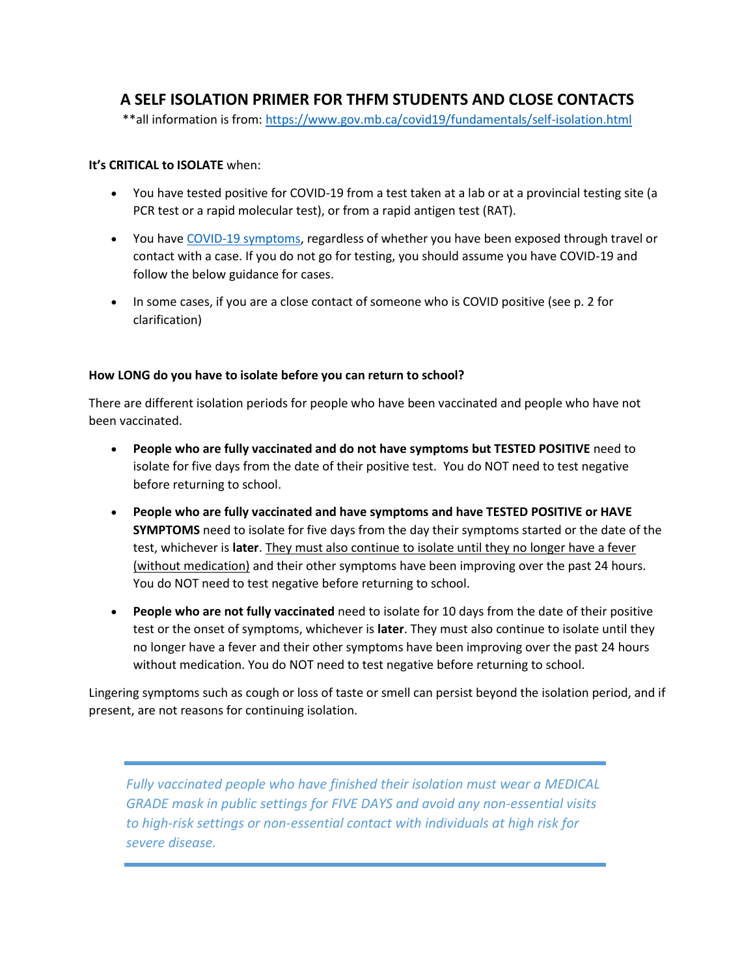## **A SELF ISOLATION PRIMER FOR THFM STUDENTS AND CLOSE CONTACTS**

\*\*all information is from:<https://www.gov.mb.ca/covid19/fundamentals/self-isolation.html>

## **It's CRITICAL to ISOLATE** when:

- You have tested positive for COVID-19 from a test taken at a lab or at a provincial testing site (a PCR test or a rapid molecular test), or from a rapid antigen test (RAT).
- You have [COVID-19 symptoms,](https://manitoba.ca/covid19/fundamentals/symptoms.html) regardless of whether you have been exposed through travel or contact with a case. If you do not go for testing, you should assume you have COVID-19 and follow the below guidance for cases.
- In some cases, if you are a close contact of someone who is COVID positive (see p. 2 for clarification)

## **How LONG do you have to isolate before you can return to school?**

There are different isolation periods for people who have been vaccinated and people who have not been vaccinated.

- **People who are fully vaccinated and do not have symptoms but TESTED POSITIVE** need to isolate for five days from the date of their positive test. You do NOT need to test negative before returning to school.
- **People who are fully vaccinated and have symptoms and have TESTED POSITIVE or HAVE SYMPTOMS** need to isolate for five days from the day their symptoms started or the date of the test, whichever is **later**. They must also continue to isolate until they no longer have a fever (without medication) and their other symptoms have been improving over the past 24 hours. You do NOT need to test negative before returning to school.
- **People who are not fully vaccinated** need to isolate for 10 days from the date of their positive test or the onset of symptoms, whichever is **later**. They must also continue to isolate until they no longer have a fever and their other symptoms have been improving over the past 24 hours without medication. You do NOT need to test negative before returning to school.

Lingering symptoms such as cough or loss of taste or smell can persist beyond the isolation period, and if present, are not reasons for continuing isolation.

*Fully vaccinated people who have finished their isolation must wear a MEDICAL GRADE mask in public settings for FIVE DAYS and avoid any non-essential visits to high-risk settings or non-essential contact with individuals at high risk for severe disease.*